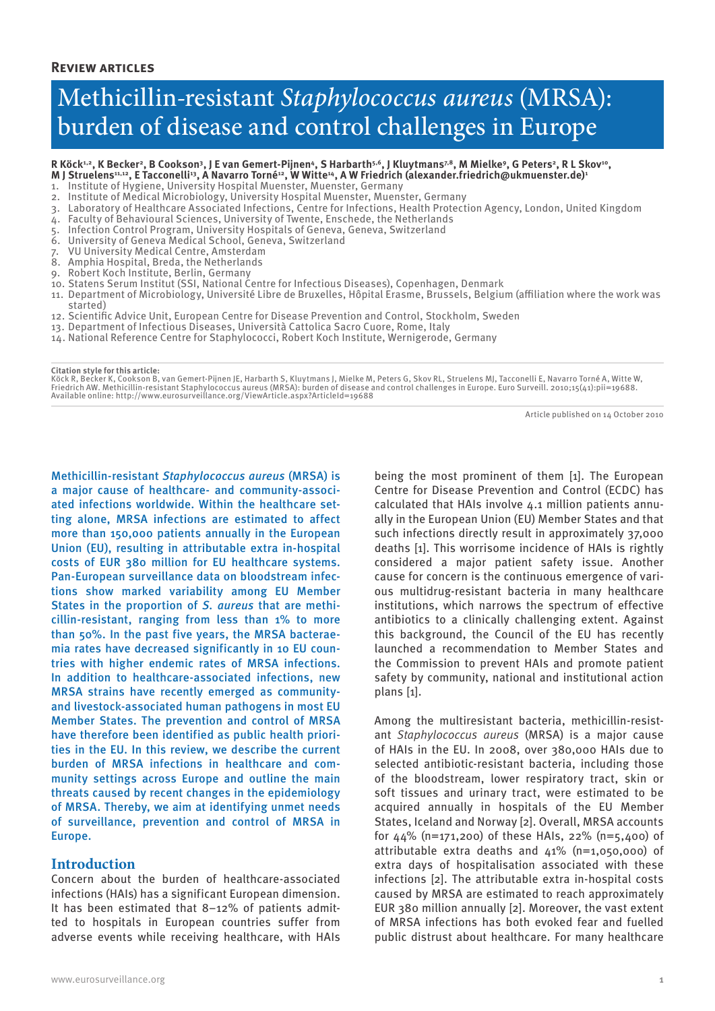#### **Review articles**

## Methicillin-resistant *Staphylococcus aureus* (MRSA): burden of disease and control challenges in Europe

R Köck<sup>1,2</sup>, K Becker<sup>2</sup>, B Cookson<sup>3</sup>, J E van Gemert-Pijnen<sup>4</sup>, S Harbarth<sup>5,6</sup>, J Kluytmans<sup>7,8</sup>, M Mielke<sup>9</sup>, G Peters<sup>2</sup>, R L Skov<sup>10</sup>,<br>M J Struelens<sup>11,12</sup>, E Tacconelli<sup>13</sup>, A Navarro Torné<sup>12</sup>, W Witte<sup>14</sup>, A W Fri

- 1. Institute of Hygiene, University Hospital Muenster, Muenster, Germany
- 2. Institute of Medical Microbiology, University Hospital Muenster, Muenster, Germany
- Laboratory of Healthcare Associated Infections, Centre for Infections, Health Protection Agency, London, United Kingdom
- 4. Faculty of Behavioural Sciences, University of Twente, Enschede, the Netherlands
- 5. Infection Control Program, University Hospitals of Geneva, Geneva, Switzerland
- 6. University of Geneva Medical School, Geneva, Switzerland
- 7. VU University Medical Centre, Amsterdam
- 8. Amphia Hospital, Breda, the Netherlands
- 9. Robert Koch Institute, Berlin, Germany
- 10. Statens Serum Institut (SSI, National Centre for Infectious Diseases), Copenhagen, Denmark
- 11. Department of Microbiology, Université Libre de Bruxelles, Hôpital Erasme, Brussels, Belgium (affiliation where the work was started)
- 12. Scientific Advice Unit, European Centre for Disease Prevention and Control, Stockholm, Sweden
- 13. Department of Infectious Diseases, Università Cattolica Sacro Cuore, Rome, Italy
- 14. National Reference Centre for Staphylococci, Robert Koch Institute, Wernigerode, Germany

**Citation style for this article:**

Köck R, Becker K, Cookson B, van Gemert-Pijnen JE, Harbarth S, Kluytmans J, Mielke M, Peters G, Skov RL, Struelens MJ, Tacconelli E, Navarro Torné A, Witte W,<br>Friedrich AW. Methicillin-resistant Staphylococcus aureus (MRSA Available online: http://www.eurosurveillance.org/ViewArticle.aspx?ArticleId=19688

Article published on 14 October 2010

Methicillin-resistant *Staphylococcus aureus* (MRSA) is a major cause of healthcare- and community-associated infections worldwide. Within the healthcare setting alone, MRSA infections are estimated to affect more than 150,000 patients annually in the European Union (EU), resulting in attributable extra in-hospital costs of EUR 380 million for EU healthcare systems. Pan-European surveillance data on bloodstream infections show marked variability among EU Member States in the proportion of *S. aureus* that are methicillin-resistant, ranging from less than 1% to more than 50%. In the past five years, the MRSA bacteraemia rates have decreased significantly in 10 EU countries with higher endemic rates of MRSA infections. In addition to healthcare-associated infections, new MRSA strains have recently emerged as communityand livestock-associated human pathogens in most EU Member States. The prevention and control of MRSA have therefore been identified as public health priorities in the EU. In this review, we describe the current burden of MRSA infections in healthcare and community settings across Europe and outline the main threats caused by recent changes in the epidemiology of MRSA. Thereby, we aim at identifying unmet needs of surveillance, prevention and control of MRSA in Europe.

#### **Introduction**

Concern about the burden of healthcare-associated infections (HAIs) has a significant European dimension. It has been estimated that 8–12% of patients admitted to hospitals in European countries suffer from adverse events while receiving healthcare, with HAIs

being the most prominent of them [1]. The European Centre for Disease Prevention and Control (ECDC) has calculated that HAIs involve 4.1 million patients annually in the European Union (EU) Member States and that such infections directly result in approximately 37,000 deaths [1]. This worrisome incidence of HAIs is rightly considered a major patient safety issue. Another cause for concern is the continuous emergence of various multidrug-resistant bacteria in many healthcare institutions, which narrows the spectrum of effective antibiotics to a clinically challenging extent. Against this background, the Council of the EU has recently launched a recommendation to Member States and the Commission to prevent HAIs and promote patient safety by community, national and institutional action plans [1].

Among the multiresistant bacteria, methicillin-resistant *Staphylococcus aureus* (MRSA) is a major cause of HAIs in the EU. In 2008, over 380,000 HAIs due to selected antibiotic-resistant bacteria, including those of the bloodstream, lower respiratory tract, skin or soft tissues and urinary tract, were estimated to be acquired annually in hospitals of the EU Member States, Iceland and Norway [2]. Overall, MRSA accounts for  $44\%$  (n=171,200) of these HAIs, 22% (n=5,400) of attributable extra deaths and 41% (n=1,050,000) of extra days of hospitalisation associated with these infections [2]. The attributable extra in-hospital costs caused by MRSA are estimated to reach approximately EUR 380 million annually [2]. Moreover, the vast extent of MRSA infections has both evoked fear and fuelled public distrust about healthcare. For many healthcare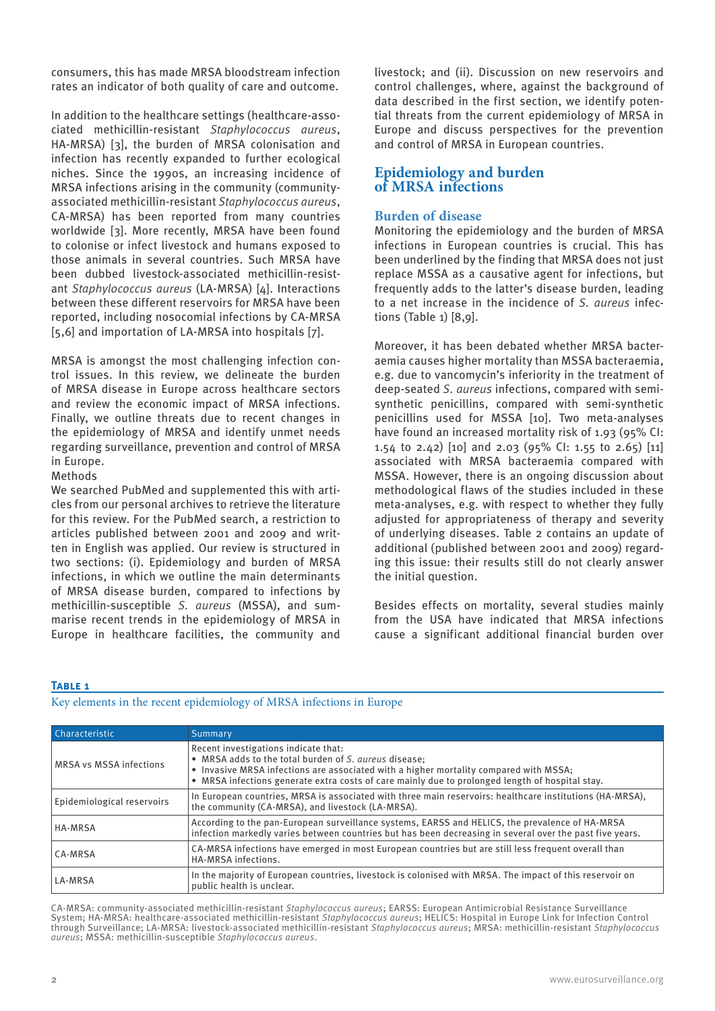consumers, this has made MRSA bloodstream infection rates an indicator of both quality of care and outcome.

In addition to the healthcare settings (healthcare-associated methicillin-resistant *Staphylococcus aureus*, HA-MRSA) [3], the burden of MRSA colonisation and infection has recently expanded to further ecological niches. Since the 1990s, an increasing incidence of MRSA infections arising in the community (communityassociated methicillin-resistant *Staphylococcus aureus*, CA-MRSA) has been reported from many countries worldwide [3]. More recently, MRSA have been found to colonise or infect livestock and humans exposed to those animals in several countries. Such MRSA have been dubbed livestock-associated methicillin-resistant *Staphylococcus aureus* (LA-MRSA) [4]. Interactions between these different reservoirs for MRSA have been reported, including nosocomial infections by CA-MRSA [5,6] and importation of LA-MRSA into hospitals [7].

MRSA is amongst the most challenging infection control issues. In this review, we delineate the burden of MRSA disease in Europe across healthcare sectors and review the economic impact of MRSA infections. Finally, we outline threats due to recent changes in the epidemiology of MRSA and identify unmet needs regarding surveillance, prevention and control of MRSA in Europe.

Methods

We searched PubMed and supplemented this with articles from our personal archives to retrieve the literature for this review. For the PubMed search, a restriction to articles published between 2001 and 2009 and written in English was applied. Our review is structured in two sections: (i). Epidemiology and burden of MRSA infections, in which we outline the main determinants of MRSA disease burden, compared to infections by methicillin-susceptible *S. aureus* (MSSA), and summarise recent trends in the epidemiology of MRSA in Europe in healthcare facilities, the community and

livestock; and (ii). Discussion on new reservoirs and control challenges, where, against the background of data described in the first section, we identify potential threats from the current epidemiology of MRSA in Europe and discuss perspectives for the prevention and control of MRSA in European countries.

### **Epidemiology and burden of MRSA infections**

#### **Burden of disease**

Monitoring the epidemiology and the burden of MRSA infections in European countries is crucial. This has been underlined by the finding that MRSA does not just replace MSSA as a causative agent for infections, but frequently adds to the latter's disease burden, leading to a net increase in the incidence of *S. aureus* infections (Table 1) [8,9].

Moreover, it has been debated whether MRSA bacteraemia causes higher mortality than MSSA bacteraemia, e.g. due to vancomycin's inferiority in the treatment of deep-seated *S. aureus* infections, compared with semisynthetic penicillins, compared with semi-synthetic penicillins used for MSSA [10]. Two meta-analyses have found an increased mortality risk of 1.93 (95% CI: 1.54 to 2.42) [10] and 2.03 (95% CI: 1.55 to 2.65) [11] associated with MRSA bacteraemia compared with MSSA. However, there is an ongoing discussion about methodological flaws of the studies included in these meta-analyses, e.g. with respect to whether they fully adjusted for appropriateness of therapy and severity of underlying diseases. Table 2 contains an update of additional (published between 2001 and 2009) regarding this issue: their results still do not clearly answer the initial question.

Besides effects on mortality, several studies mainly from the USA have indicated that MRSA infections cause a significant additional financial burden over

#### **TABLE 1**

Key elements in the recent epidemiology of MRSA infections in Europe

| Characteristic                 | Summary                                                                                                                                                                                                                                                                                   |  |
|--------------------------------|-------------------------------------------------------------------------------------------------------------------------------------------------------------------------------------------------------------------------------------------------------------------------------------------|--|
| <b>MRSA vs MSSA infections</b> | Recent investigations indicate that:<br>• MRSA adds to the total burden of S. aureus disease:<br>• Invasive MRSA infections are associated with a higher mortality compared with MSSA;<br>• MRSA infections generate extra costs of care mainly due to prolonged length of hospital stay. |  |
| Epidemiological reservoirs     | In European countries, MRSA is associated with three main reservoirs: healthcare institutions (HA-MRSA),<br>the community (CA-MRSA), and livestock (LA-MRSA).                                                                                                                             |  |
| <b>HA-MRSA</b>                 | According to the pan-European surveillance systems, EARSS and HELICS, the prevalence of HA-MRSA<br>infection markedly varies between countries but has been decreasing in several over the past five years.                                                                               |  |
| CA-MRSA                        | CA-MRSA infections have emerged in most European countries but are still less frequent overall than<br>HA-MRSA infections.                                                                                                                                                                |  |
| <b>LA-MRSA</b>                 | In the majority of European countries, livestock is colonised with MRSA. The impact of this reservoir on<br>public health is unclear.                                                                                                                                                     |  |

CA-MRSA: community-associated methicillin-resistant *Staphylococcus aureus*; EARSS: European Antimicrobial Resistance Surveillance System; HA-MRSA: healthcare-associated methicillin-resistant *Staphylococcus aureus*; HELICS: Hospital in Europe Link for Infection Control through Surveillance; LA-MRSA: livestock-associated methicillin-resistant *Staphylococcus aureus*; MRSA: methicillin-resistant *Staphylococcus aureus*; MSSA: methicillin-susceptible *Staphylococcus aureus*.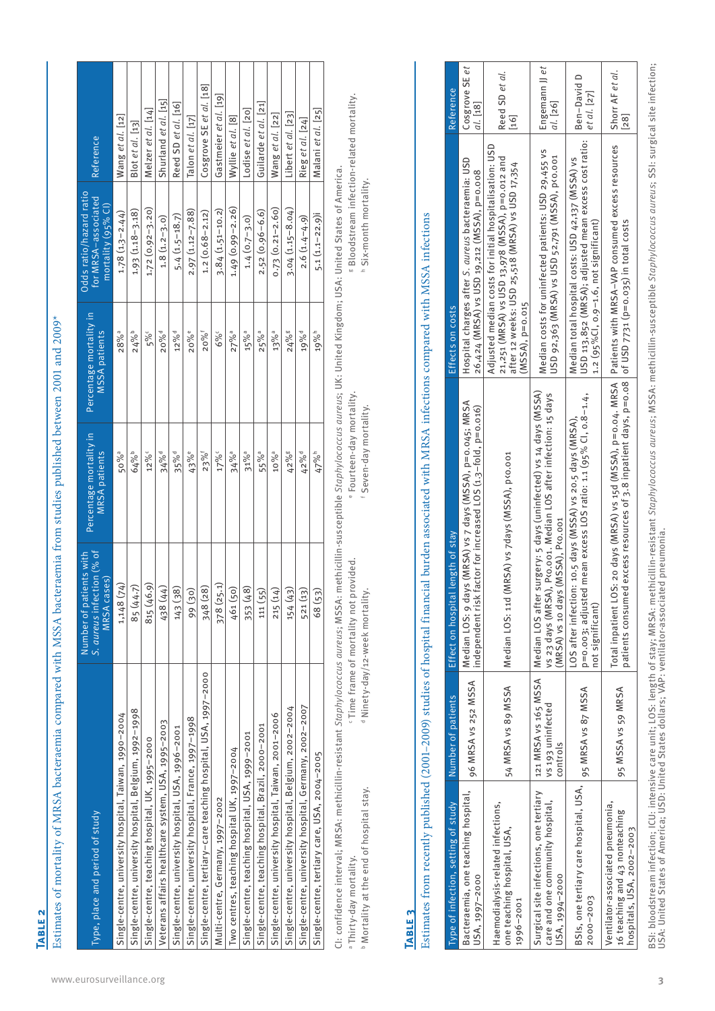**Table 2**

Estimates of mortality of MRSA bacteraemia compared with MSSA bacteraemia from studies published between 2001 and 2009\* Estimates of mortality of MRSA bacteraemia compared with MSSA bacteraemia from studies published between 2001 and 2009\*

| 17%<br>50% <sup>a</sup><br>64%<br>12%c<br>34% <sup>d</sup><br>35%d<br>43%e<br>$23\%$ <sup>†</sup><br>1,148 (74)<br>815 (46.9)<br>378 (25.1)<br>85 (44.7)<br>(† 1) 8 5 1<br>348 (28)<br>143 (38)<br>99 (30)<br>Single-centre, tertiary-care teaching hospital, USA, 1997-2000<br>Single-centre, university hospital, Belgium, 1992-1998<br>Single-centre, university hospital, Taiwan, 1990-2004<br>Single-centre, university hospital, France, 1997-1998<br>Veterans affairs healthcare system, USA, 1995-2003<br>Single-centre, university hospital, USA, 1996-2001<br>Single-centre, teaching hospital, UK, 1995-2000<br>Multi-centre, Germany, 1997-2002 | 5%<br>$28\%$ <sup>a</sup><br>$24\%^{b}$<br>20%e<br>20% <sup>d</sup><br>12% <sup>d</sup> | $1.72(0.92 - 3.20)$<br>$1.93(1.18 - 3.18)$<br>$1.78(1.3 - 2.44)$<br>$2.97(1.12 - 7.88)$<br>$5.4(1.5-18.7)$<br>$1.8(1.2-3.0)$ | Shurland et al. [15]<br>Reed SD et al. [16]<br>Melzer et al. [14]<br>Wang et al. [12]<br>Blot et al. [13] |
|-------------------------------------------------------------------------------------------------------------------------------------------------------------------------------------------------------------------------------------------------------------------------------------------------------------------------------------------------------------------------------------------------------------------------------------------------------------------------------------------------------------------------------------------------------------------------------------------------------------------------------------------------------------|-----------------------------------------------------------------------------------------|------------------------------------------------------------------------------------------------------------------------------|-----------------------------------------------------------------------------------------------------------|
|                                                                                                                                                                                                                                                                                                                                                                                                                                                                                                                                                                                                                                                             |                                                                                         |                                                                                                                              |                                                                                                           |
|                                                                                                                                                                                                                                                                                                                                                                                                                                                                                                                                                                                                                                                             |                                                                                         |                                                                                                                              |                                                                                                           |
|                                                                                                                                                                                                                                                                                                                                                                                                                                                                                                                                                                                                                                                             |                                                                                         |                                                                                                                              |                                                                                                           |
|                                                                                                                                                                                                                                                                                                                                                                                                                                                                                                                                                                                                                                                             |                                                                                         |                                                                                                                              |                                                                                                           |
|                                                                                                                                                                                                                                                                                                                                                                                                                                                                                                                                                                                                                                                             |                                                                                         |                                                                                                                              |                                                                                                           |
|                                                                                                                                                                                                                                                                                                                                                                                                                                                                                                                                                                                                                                                             |                                                                                         |                                                                                                                              | Talon et al. [17]                                                                                         |
|                                                                                                                                                                                                                                                                                                                                                                                                                                                                                                                                                                                                                                                             | $20\%$ <sup>f</sup>                                                                     | $1.2(0.68 - 2.12)$                                                                                                           | Cosgrove SE et al. [18]                                                                                   |
|                                                                                                                                                                                                                                                                                                                                                                                                                                                                                                                                                                                                                                                             | 6%                                                                                      | $3.84(1.51 - 10.2)$                                                                                                          | Gastmeier et al. [19]                                                                                     |
| 34% <sup>a</sup><br>461 (50)<br>Two centres, teaching hospital UK, 1997–2004                                                                                                                                                                                                                                                                                                                                                                                                                                                                                                                                                                                | $27\%$ <sup>a</sup>                                                                     | $1.49(0.99 - 2.26)$                                                                                                          | Wyllie et al. [8]                                                                                         |
| $31\%$ <sup>a</sup><br>353 (48)<br>Single-centre, teaching hospital, USA, 1999-2001                                                                                                                                                                                                                                                                                                                                                                                                                                                                                                                                                                         | 15% <sup>a</sup>                                                                        | $1.4(0.7 - 3.0)$                                                                                                             | Lodise et al. [20]                                                                                        |
| 55% <sup>a</sup><br>111 (55)<br>Single-centre, teaching hospital, Brazil, 2000-2001                                                                                                                                                                                                                                                                                                                                                                                                                                                                                                                                                                         | $25\%$ <sup>a</sup>                                                                     | $2.52(0.96 - 6.6)$                                                                                                           | Guilarde et al. [21]                                                                                      |
| 10% <sup>a</sup><br>215 (14)<br>Single-centre, university hospital, Taiwan, 2001-2006                                                                                                                                                                                                                                                                                                                                                                                                                                                                                                                                                                       | $13\%$ <sup>a</sup>                                                                     | $0.73(0.21 - 2.60)$                                                                                                          | Wang et al. [22]                                                                                          |
| 42% 5<br>154 (43)<br>Single-centre, university hospital, Belgium, 2002-2004                                                                                                                                                                                                                                                                                                                                                                                                                                                                                                                                                                                 | $24\%$                                                                                  | 3.04 (1.15-8.04)                                                                                                             | Libert et al. [23]                                                                                        |
| 42% <sup>d</sup><br>521 (13)<br>Single-centre, university hospital, Germany, 2002-2007                                                                                                                                                                                                                                                                                                                                                                                                                                                                                                                                                                      | 19% <sup>d</sup>                                                                        | $2.6(1.4 - 4.9)$                                                                                                             | Rieg et al. [24]                                                                                          |
| 47% <sup>h</sup><br>68 (53)<br>Single-centre, tertiary care, USA, 2004-2005                                                                                                                                                                                                                                                                                                                                                                                                                                                                                                                                                                                 | 19% <sup>h</sup>                                                                        | 5.1 (1.1-22.9)                                                                                                               | Malani et al. [25]                                                                                        |

CI: confidence interval; MRSA: methicillin-resistant Staphylococcus aureus; MSSA: methicillin-susceptible Staphylococcus aureus; UK: United Kingdom; USA: United States of America. CI: confidence interval; MRSA: methicillin-resistant *Staphylococcus aureus*; MSSA: methicillin-susceptible *Staphylococcus aureus*; UK: United Kingdom; USA: United States of America. e Fourteen-day mortality. e Fourteen-day mortality. c Time frame of mortality not provided. · Time frame of mortality not provided. a Thirty-day mortality. a Thirty-day mortality.

b Mortality at the end of hospital stay. <sup>b</sup> Mortality at the end of hospital stay.

<sup>d</sup> Ninety-day/12-week mortality. d Ninety-day/12-week mortality.

f Seven-day mortality. f Seven-day mortality.

<sup>8</sup> Bloodstream infection-related mortality. g Bloodstream infection-related mortality. h Six-month mortality. h Six-month mortality.

# **Table 3**

Estimates from recently published (2001-2009) studies of hospital financial burden associated with MRSA infections compared with MSSA infections Estimates from recently published (2001–2009) studies of hospital financial burden associated with MRSA infections compared with MSSA infections

| Type of infection, setting of study                                                             | Number of patients                                    | Effect on hospital length of stay                                                                                                                                                                                             | Effects on costs                                                                                                                                                                  | Reference                                                                                               |
|-------------------------------------------------------------------------------------------------|-------------------------------------------------------|-------------------------------------------------------------------------------------------------------------------------------------------------------------------------------------------------------------------------------|-----------------------------------------------------------------------------------------------------------------------------------------------------------------------------------|---------------------------------------------------------------------------------------------------------|
| Bacteraemia, one teaching hospital,<br>USA, 1997-2000                                           | 96 MRSA vs 252 MSSA                                   | Median LOS: 9 days (MRSA) vs 7 days (MSSA), p=0.045; MRSA<br>independent risk factor for increased LOS (1.3-fold, p=0.016)                                                                                                    | Hospital charges after S. aureus bacteraemia: USD<br>26,424 (MRSA) vs USD 19,212 (MSSA), p=0.008                                                                                  | Cosgrove SE et<br>al. 118                                                                               |
| Haemodialysis-related infections,<br>one teaching hospital, USA,<br>1996-2001                   | 54 MRSA vs 89 MSSA                                    | Median LOS: 11d (MRSA) vs 7days (MSSA), p<0.001                                                                                                                                                                               | Adjusted median costs for initial hospitalisation: USD<br>21,251 (MRSA) vs USD 13,978 (MSSA), p=0.012 and<br>after 12 weeks: USD 25,518 (MRSA) vs USD 17,354<br>$(MSSA), p=0.015$ | Reed SD et al.<br>[16]                                                                                  |
| Surgical site infections, one tertiary<br>care and one community hospital,<br>USA, 1994-2000    | 121 MRSA vs 165 MSSA<br>vs 193 uninfected<br>controls | Median LOS after surgery: 5 days (uninfected) vs 14 days (MSSA)<br>vs 23 days (MRSA), P <o.oo1. 15="" after="" days<br="" infection:="" los="" median="">(MRSA) vs 10 days (MSSA), P&lt;0.001</o.oo1.>                        | Median costs for uninfected patients: USD 29,455 vs<br>USD 92,363 (MRSA) vs USD 52,791 (MSSA), p<0.001                                                                            | Engemann J et<br>al.  26                                                                                |
| BSIs, one tertiary care hospital, USA,   <sub>95</sub> MRSA vs 87 MSSA<br>$2000 - 2003$         |                                                       | p=0.003; adjusted mean excess LOS ratio: 1.1 (95% CI, 0.8-1.4,<br>LOS after infection: 10.5 days (MSSA) vs 20.5 days (MRSA),<br>not significant)                                                                              | USD 113,852 (MRSA); adjusted mean excess cost ratio:<br>Median total hospital costs: USD 42,137 (MSSA) vs<br>1.2 (95%Cl, 0.9-1.6, not significant)                                | Ben-David D<br>et al. [27]                                                                              |
| Ventilator-associated pneumonia,<br>16 teaching and 43 nonteaching<br>hospitals, USA, 2002-2003 | 95 MSSA vs 59 MRSA                                    | Total inpatient LOS: 20 days (MRSA) vs 15d (MSSA), p=0.04. MRSA   Patients with MRSA–VAP consumed excess resources<br>patients consumed excess resources of 3.8 inpatient days, p=0.08   of USD 7731 (p=0.035) in total costs |                                                                                                                                                                                   | Shorr AF et al.<br> 82                                                                                  |
| $\frac{1}{2}$                                                                                   | $\frac{1}{2}$                                         | $\frac{1}{2}$                                                                                                                                                                                                                 |                                                                                                                                                                                   | $\frac{1}{2}$ and $\frac{1}{2}$ and $\frac{1}{2}$ and $\frac{1}{2}$ and $\frac{1}{2}$ and $\frac{1}{2}$ |

BSI: bloodstream infection; ICU: intensive care unit; LOS: length of stay; MSSA: methicllin-resistant Staphylococcus aureus; MSSA: methicillin-susceptible Staphylococcus aureus; SSI: surgical site infection;<br>USA: United St BSI: bloodstream infection; ICU: intensive care unit; LOS: length of stay; MRSA: methicillin-resistant *Staphylococcus aureus*; MSSA: methicillin-susceptible *Staphylococcus aureus*; SSI: surgical site infection; USA: United States of America; USD: United States dollars; VAP: ventilator-associated pneumonia.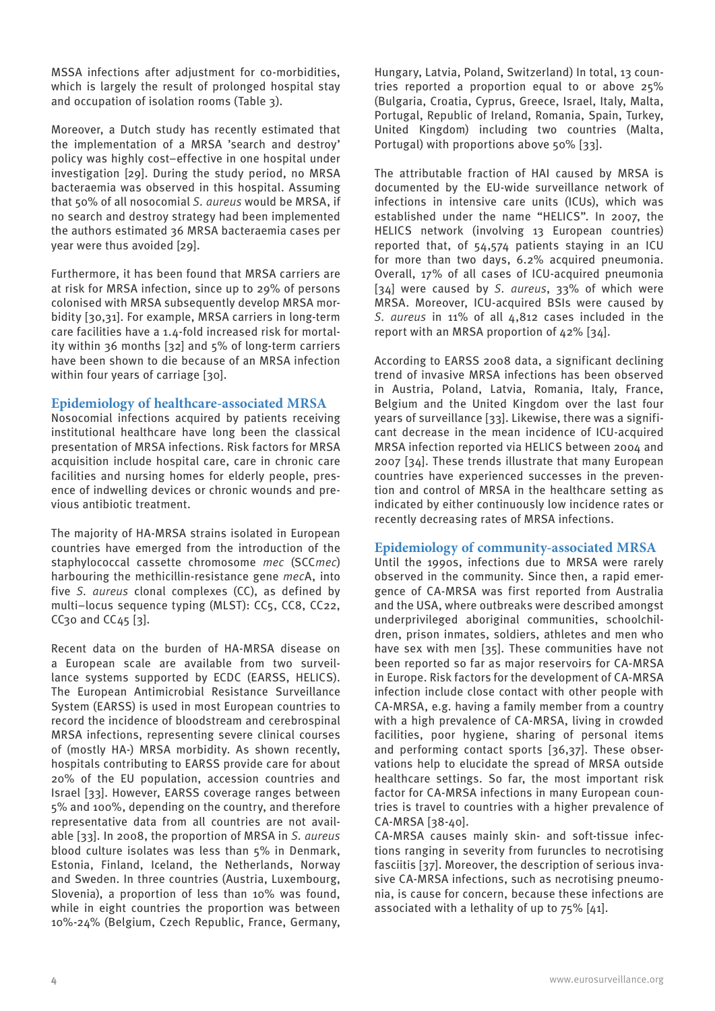MSSA infections after adjustment for co-morbidities, which is largely the result of prolonged hospital stay and occupation of isolation rooms (Table 3).

Moreover, a Dutch study has recently estimated that the implementation of a MRSA 'search and destroy' policy was highly cost–effective in one hospital under investigation [29]. During the study period, no MRSA bacteraemia was observed in this hospital. Assuming that 50% of all nosocomial *S. aureus* would be MRSA, if no search and destroy strategy had been implemented the authors estimated 36 MRSA bacteraemia cases per year were thus avoided [29].

Furthermore, it has been found that MRSA carriers are at risk for MRSA infection, since up to 29% of persons colonised with MRSA subsequently develop MRSA morbidity [30,31]. For example, MRSA carriers in long-term care facilities have a 1.4-fold increased risk for mortality within 36 months [32] and 5% of long-term carriers have been shown to die because of an MRSA infection within four years of carriage [30].

#### **Epidemiology of healthcare-associated MRSA**

Nosocomial infections acquired by patients receiving institutional healthcare have long been the classical presentation of MRSA infections. Risk factors for MRSA acquisition include hospital care, care in chronic care facilities and nursing homes for elderly people, presence of indwelling devices or chronic wounds and previous antibiotic treatment.

The majority of HA-MRSA strains isolated in European countries have emerged from the introduction of the staphylococcal cassette chromosome *mec* (SCC*mec*) harbouring the methicillin-resistance gene *mec*A, into five *S. aureus* clonal complexes (CC), as defined by multi–locus sequence typing (MLST): CC5, CC8, CC22, CC $30$  and CC $45$  [ $3$ ].

Recent data on the burden of HA-MRSA disease on a European scale are available from two surveillance systems supported by ECDC (EARSS, HELICS). The European Antimicrobial Resistance Surveillance System (EARSS) is used in most European countries to record the incidence of bloodstream and cerebrospinal MRSA infections, representing severe clinical courses of (mostly HA-) MRSA morbidity. As shown recently, hospitals contributing to EARSS provide care for about 20% of the EU population, accession countries and Israel [33]. However, EARSS coverage ranges between 5% and 100%, depending on the country, and therefore representative data from all countries are not available [33]. In 2008, the proportion of MRSA in *S. aureus* blood culture isolates was less than 5% in Denmark, Estonia, Finland, Iceland, the Netherlands, Norway and Sweden. In three countries (Austria, Luxembourg, Slovenia), a proportion of less than 10% was found, while in eight countries the proportion was between 10%-24% (Belgium, Czech Republic, France, Germany, Hungary, Latvia, Poland, Switzerland) In total, 13 countries reported a proportion equal to or above 25% (Bulgaria, Croatia, Cyprus, Greece, Israel, Italy, Malta, Portugal, Republic of Ireland, Romania, Spain, Turkey, United Kingdom) including two countries (Malta, Portugal) with proportions above 50% [33].

The attributable fraction of HAI caused by MRSA is documented by the EU-wide surveillance network of infections in intensive care units (ICUs), which was established under the name "HELICS". In 2007, the HELICS network (involving 13 European countries) reported that, of 54,574 patients staying in an ICU for more than two days, 6.2% acquired pneumonia. Overall, 17% of all cases of ICU-acquired pneumonia [34] were caused by *S. aureus*, 33% of which were MRSA. Moreover, ICU-acquired BSIs were caused by *S. aureus* in 11% of all 4,812 cases included in the report with an MRSA proportion of 42% [34].

According to EARSS 2008 data, a significant declining trend of invasive MRSA infections has been observed in Austria, Poland, Latvia, Romania, Italy, France, Belgium and the United Kingdom over the last four years of surveillance [33]. Likewise, there was a significant decrease in the mean incidence of ICU-acquired MRSA infection reported via HELICS between 2004 and 2007 [34]. These trends illustrate that many European countries have experienced successes in the prevention and control of MRSA in the healthcare setting as indicated by either continuously low incidence rates or recently decreasing rates of MRSA infections.

#### **Epidemiology of community-associated MRSA**

Until the 1990s, infections due to MRSA were rarely observed in the community. Since then, a rapid emergence of CA-MRSA was first reported from Australia and the USA, where outbreaks were described amongst underprivileged aboriginal communities, schoolchildren, prison inmates, soldiers, athletes and men who have sex with men [35]. These communities have not been reported so far as major reservoirs for CA-MRSA in Europe. Risk factors for the development of CA-MRSA infection include close contact with other people with CA-MRSA, e.g. having a family member from a country with a high prevalence of CA-MRSA, living in crowded facilities, poor hygiene, sharing of personal items and performing contact sports [36,37]. These observations help to elucidate the spread of MRSA outside healthcare settings. So far, the most important risk factor for CA-MRSA infections in many European countries is travel to countries with a higher prevalence of CA-MRSA [38-40].

CA-MRSA causes mainly skin- and soft-tissue infections ranging in severity from furuncles to necrotising fasciitis [37]. Moreover, the description of serious invasive CA-MRSA infections, such as necrotising pneumonia, is cause for concern, because these infections are associated with a lethality of up to 75% [41].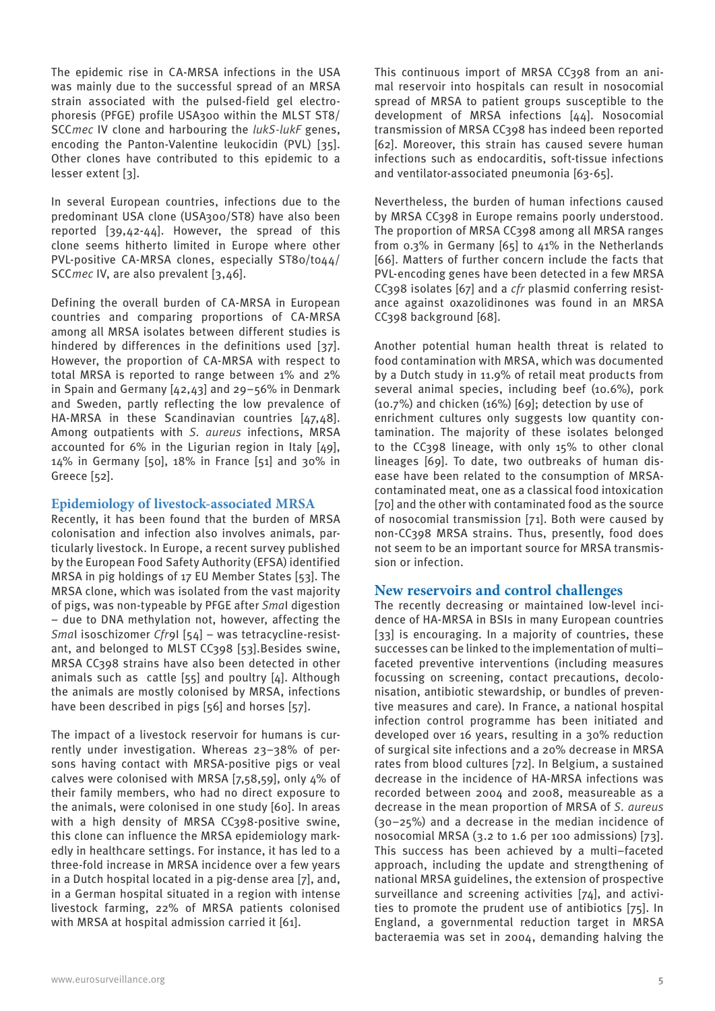The epidemic rise in CA-MRSA infections in the USA was mainly due to the successful spread of an MRSA strain associated with the pulsed-field gel electrophoresis (PFGE) profile USA300 within the MLST ST8/ SCC*mec* IV clone and harbouring the *lukS-lukF* genes, encoding the Panton-Valentine leukocidin (PVL) [35]. Other clones have contributed to this epidemic to a lesser extent [3].

In several European countries, infections due to the predominant USA clone (USA300/ST8) have also been reported [39,42-44]. However, the spread of this clone seems hitherto limited in Europe where other PVL-positive CA-MRSA clones, especially ST80/t044/ SCC*mec* IV, are also prevalent [3,46].

Defining the overall burden of CA-MRSA in European countries and comparing proportions of CA-MRSA among all MRSA isolates between different studies is hindered by differences in the definitions used [37]. However, the proportion of CA-MRSA with respect to total MRSA is reported to range between 1% and 2% in Spain and Germany [42,43] and 29–56% in Denmark and Sweden, partly reflecting the low prevalence of HA-MRSA in these Scandinavian countries [47,48]. Among outpatients with *S. aureus* infections, MRSA accounted for 6% in the Ligurian region in Italy [49], 14% in Germany [50], 18% in France [51] and 30% in Greece [52].

#### **Epidemiology of livestock-associated MRSA**

Recently, it has been found that the burden of MRSA colonisation and infection also involves animals, particularly livestock. In Europe, a recent survey published by the European Food Safety Authority (EFSA) identified MRSA in pig holdings of 17 EU Member States [53]. The MRSA clone, which was isolated from the vast majority of pigs, was non-typeable by PFGE after *Sma*I digestion – due to DNA methylation not, however, affecting the *Sma*I isoschizomer *Cfr*9I [54] – was tetracycline-resistant, and belonged to MLST CC398 [53]. Besides swine, MRSA CC398 strains have also been detected in other animals such as cattle [55] and poultry [4]. Although the animals are mostly colonised by MRSA, infections have been described in pigs [56] and horses [57].

The impact of a livestock reservoir for humans is currently under investigation. Whereas 23–38% of persons having contact with MRSA-positive pigs or veal calves were colonised with MRSA [7,58,59], only 4% of their family members, who had no direct exposure to the animals, were colonised in one study [60]. In areas with a high density of MRSA CC398-positive swine, this clone can influence the MRSA epidemiology markedly in healthcare settings. For instance, it has led to a three-fold increase in MRSA incidence over a few years in a Dutch hospital located in a pig-dense area [7], and, in a German hospital situated in a region with intense livestock farming, 22% of MRSA patients colonised with MRSA at hospital admission carried it [61].

This continuous import of MRSA CC398 from an animal reservoir into hospitals can result in nosocomial spread of MRSA to patient groups susceptible to the development of MRSA infections [44]. Nosocomial transmission of MRSA CC398 has indeed been reported [62]. Moreover, this strain has caused severe human infections such as endocarditis, soft-tissue infections and ventilator-associated pneumonia [63-65].

Nevertheless, the burden of human infections caused by MRSA CC398 in Europe remains poorly understood. The proportion of MRSA CC398 among all MRSA ranges from  $0.3\%$  in Germany [65] to  $41\%$  in the Netherlands [66]. Matters of further concern include the facts that PVL-encoding genes have been detected in a few MRSA CC398 isolates [67] and a *cfr* plasmid conferring resistance against oxazolidinones was found in an MRSA CC398 background [68].

Another potential human health threat is related to food contamination with MRSA, which was documented by a Dutch study in 11.9% of retail meat products from several animal species, including beef (10.6%), pork (10.7%) and chicken (16%) [69]; detection by use of enrichment cultures only suggests low quantity contamination. The majority of these isolates belonged to the CC398 lineage, with only 15% to other clonal lineages [69]. To date, two outbreaks of human disease have been related to the consumption of MRSAcontaminated meat, one as a classical food intoxication [70] and the other with contaminated food as the source of nosocomial transmission [71]. Both were caused by non-CC398 MRSA strains. Thus, presently, food does not seem to be an important source for MRSA transmission or infection.

#### **New reservoirs and control challenges**

The recently decreasing or maintained low-level incidence of HA-MRSA in BSIs in many European countries [33] is encouraging. In a majority of countries, these successes can be linked to the implementation of multi– faceted preventive interventions (including measures focussing on screening, contact precautions, decolonisation, antibiotic stewardship, or bundles of preventive measures and care). In France, a national hospital infection control programme has been initiated and developed over 16 years, resulting in a 30% reduction of surgical site infections and a 20% decrease in MRSA rates from blood cultures [72]. In Belgium, a sustained decrease in the incidence of HA-MRSA infections was recorded between 2004 and 2008, measureable as a decrease in the mean proportion of MRSA of *S. aureus* (30–25%) and a decrease in the median incidence of nosocomial MRSA (3.2 to 1.6 per 100 admissions) [73]. This success has been achieved by a multi–faceted approach, including the update and strengthening of national MRSA guidelines, the extension of prospective surveillance and screening activities [74], and activities to promote the prudent use of antibiotics [75]. In England, a governmental reduction target in MRSA bacteraemia was set in 2004, demanding halving the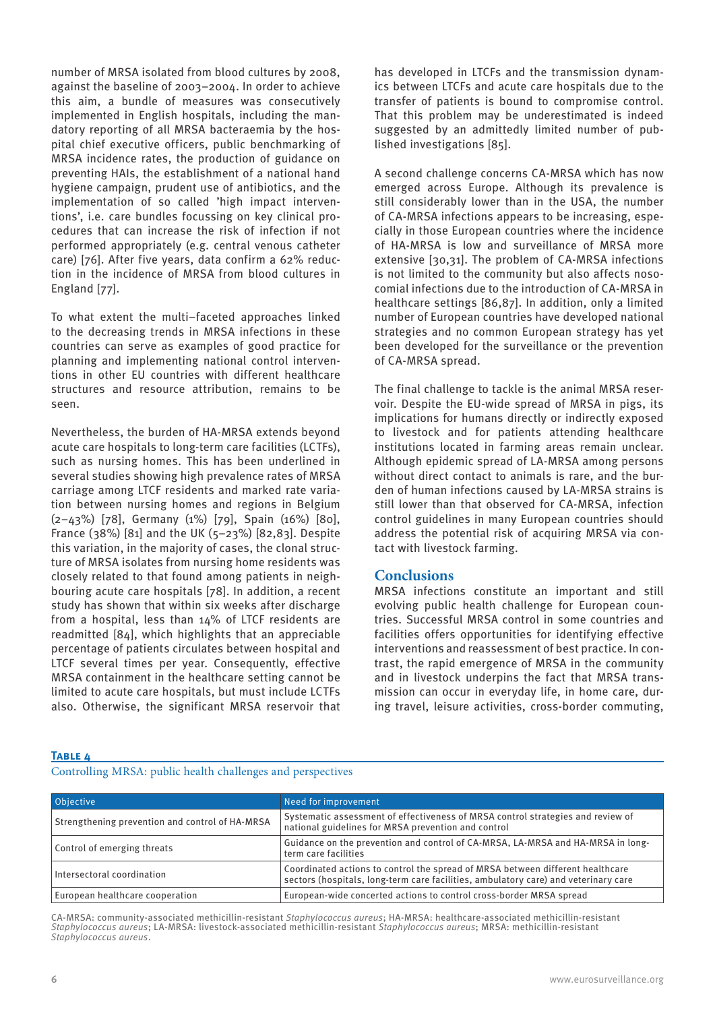number of MRSA isolated from blood cultures by 2008, against the baseline of 2003–2004. In order to achieve this aim, a bundle of measures was consecutively implemented in English hospitals, including the mandatory reporting of all MRSA bacteraemia by the hospital chief executive officers, public benchmarking of MRSA incidence rates, the production of guidance on preventing HAIs, the establishment of a national hand hygiene campaign, prudent use of antibiotics, and the implementation of so called 'high impact interventions', i.e. care bundles focussing on key clinical procedures that can increase the risk of infection if not performed appropriately (e.g. central venous catheter care) [76]. After five years, data confirm a 62% reduction in the incidence of MRSA from blood cultures in England [77].

To what extent the multi–faceted approaches linked to the decreasing trends in MRSA infections in these countries can serve as examples of good practice for planning and implementing national control interventions in other EU countries with different healthcare structures and resource attribution, remains to be seen.

Nevertheless, the burden of HA-MRSA extends beyond acute care hospitals to long-term care facilities (LCTFs), such as nursing homes. This has been underlined in several studies showing high prevalence rates of MRSA carriage among LTCF residents and marked rate variation between nursing homes and regions in Belgium (2–43%) [78], Germany (1%) [79], Spain (16%) [80], France (38%) [81] and the UK (5–23%) [82,83]. Despite this variation, in the majority of cases, the clonal structure of MRSA isolates from nursing home residents was closely related to that found among patients in neighbouring acute care hospitals [78]. In addition, a recent study has shown that within six weeks after discharge from a hospital, less than 14% of LTCF residents are readmitted [84], which highlights that an appreciable percentage of patients circulates between hospital and LTCF several times per year. Consequently, effective MRSA containment in the healthcare setting cannot be limited to acute care hospitals, but must include LCTFs also. Otherwise, the significant MRSA reservoir that has developed in LTCFs and the transmission dynamics between LTCFs and acute care hospitals due to the transfer of patients is bound to compromise control. That this problem may be underestimated is indeed suggested by an admittedly limited number of published investigations [85].

A second challenge concerns CA-MRSA which has now emerged across Europe. Although its prevalence is still considerably lower than in the USA, the number of CA-MRSA infections appears to be increasing, especially in those European countries where the incidence of HA-MRSA is low and surveillance of MRSA more extensive [30,31]. The problem of CA-MRSA infections is not limited to the community but also affects nosocomial infections due to the introduction of CA-MRSA in healthcare settings [86,87]. In addition, only a limited number of European countries have developed national strategies and no common European strategy has yet been developed for the surveillance or the prevention of CA-MRSA spread.

The final challenge to tackle is the animal MRSA reservoir. Despite the EU-wide spread of MRSA in pigs, its implications for humans directly or indirectly exposed to livestock and for patients attending healthcare institutions located in farming areas remain unclear. Although epidemic spread of LA-MRSA among persons without direct contact to animals is rare, and the burden of human infections caused by LA-MRSA strains is still lower than that observed for CA-MRSA, infection control guidelines in many European countries should address the potential risk of acquiring MRSA via contact with livestock farming.

#### **Conclusions**

MRSA infections constitute an important and still evolving public health challenge for European countries. Successful MRSA control in some countries and facilities offers opportunities for identifying effective interventions and reassessment of best practice. In contrast, the rapid emergence of MRSA in the community and in livestock underpins the fact that MRSA transmission can occur in everyday life, in home care, during travel, leisure activities, cross-border commuting,

#### **Table 4**

Controlling MRSA: public health challenges and perspectives

| Objective                                       | Need for improvement                                                                                                                                                  |
|-------------------------------------------------|-----------------------------------------------------------------------------------------------------------------------------------------------------------------------|
| Strengthening prevention and control of HA-MRSA | Systematic assessment of effectiveness of MRSA control strategies and review of<br>national guidelines for MRSA prevention and control                                |
| Control of emerging threats                     | Guidance on the prevention and control of CA-MRSA, LA-MRSA and HA-MRSA in long-<br>term care facilities                                                               |
| Intersectoral coordination                      | Coordinated actions to control the spread of MRSA between different healthcare<br>sectors (hospitals, long-term care facilities, ambulatory care) and veterinary care |
| European healthcare cooperation                 | European-wide concerted actions to control cross-border MRSA spread                                                                                                   |

CA-MRSA: community-associated methicillin-resistant *Staphylococcus aureus*; HA-MRSA: healthcare-associated methicillin-resistant *Staphylococcus aureus*; LA-MRSA: livestock-associated methicillin-resistant *Staphylococcus aureus*; MRSA: methicillin-resistant *Staphylococcus aureus*.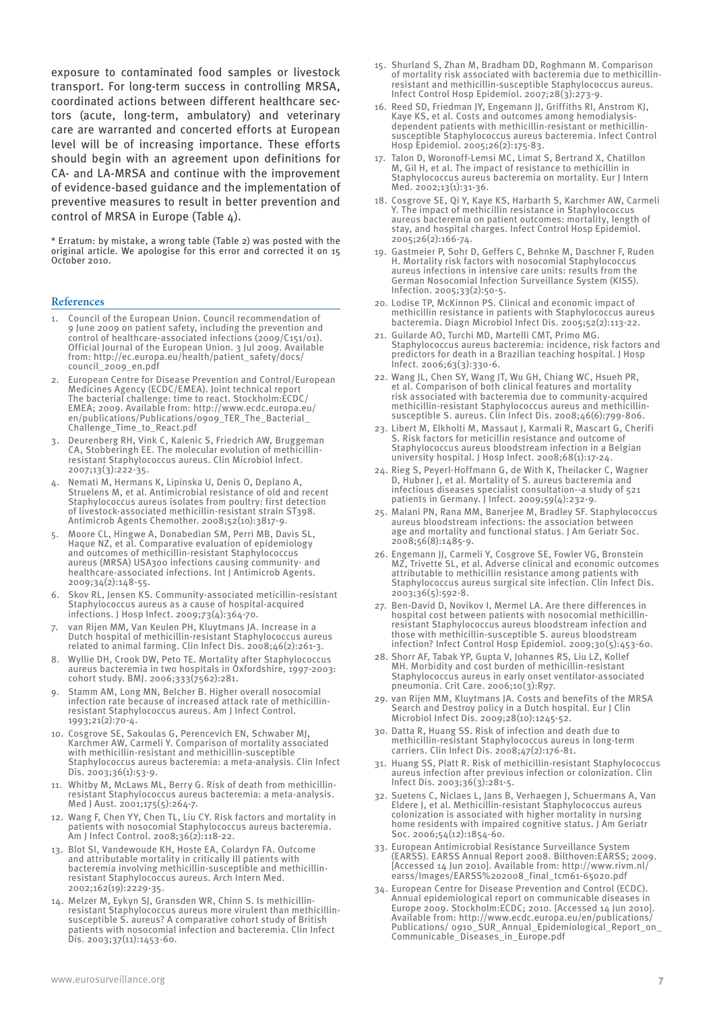exposure to contaminated food samples or livestock transport. For long-term success in controlling MRSA, coordinated actions between different healthcare sectors (acute, long-term, ambulatory) and veterinary care are warranted and concerted efforts at European level will be of increasing importance. These efforts should begin with an agreement upon definitions for CA- and LA-MRSA and continue with the improvement of evidence-based guidance and the implementation of preventive measures to result in better prevention and control of MRSA in Europe (Table 4).

\* Erratum: by mistake, a wrong table (Table 2) was posted with the original article. We apologise for this error and corrected it on 15 October 2010.

#### **References**

- 1. Council of the European Union. Council recommendation of 9 June 2009 on patient safety, including the prevention and control of healthcare-associated infections (2009/C151/01). Official Journal of the European Union. 3 Jul 2009. Available from: http://ec.europa.eu/health/patient\_safety/docs/ council\_2009\_en.pdf
- 2. European Centre for Disease Prevention and Control/European Medicines Agency (ECDC/EMEA). Joint technical report The bacterial challenge: time to react. Stockholm:ECDC/ EMEA; 2009. Available from: http://www.ecdc.europa.eu/ en/publications/Publications/0909\_TER\_The\_Bacterial\_ Challenge\_Time\_to\_React.pdf
- Deurenberg RH, Vink C, Kalenic S, Friedrich AW, Bruggeman CA, Stobberingh EE. The molecular evolution of methicillinresistant Staphylococcus aureus. Clin Microbiol Infect. 2007;13(3):222-35.
- 4. Nemati M, Hermans K, Lipinska U, Denis O, Deplano A, Struelens M, et al. Antimicrobial resistance of old and recent Staphylococcus aureus isolates from poultry: first detection of livestock-associated methicillin-resistant strain ST398. Antimicrob Agents Chemother. 2008;52(10):3817-9.
- 5. Moore CL, Hingwe A, Donabedian SM, Perri MB, Davis SL, Haque NZ, et al. Comparative evaluation of epidemiology and outcomes of methicillin-resistant Staphylococcus aureus (MRSA) USA300 infections causing community- and healthcare-associated infections. Int J Antimicrob Agents. 2009;34(2):148-55.
- 6. Skov RL, Jensen KS. Community-associated meticillin-resistant Staphylococcus aureus as a cause of hospital-acquired infections. J Hosp Infect. 2009;73(4):364-70.
- 7. van Rijen MM, Van Keulen PH, Kluytmans JA. Increase in a Dutch hospital of methicillin-resistant Staphylococcus aureus related to animal farming. Clin Infect Dis. 2008;46(2):261-3.
- Wyllie DH, Crook DW, Peto TE. Mortality after Staphylococcus aureus bacteremia in two hospitals in Oxfordshire, 1997-2003: cohort study. BMJ. 2006;333(7562):281.
- 9. Stamm AM, Long MN, Belcher B. Higher overall nosocomial infection rate because of increased attack rate of methicillinresistant Staphylococcus aureus. Am J Infect Control. 1993;21(2):70-4.
- 10. Cosgrove SE, Sakoulas G, Perencevich EN, Schwaber MJ, Karchmer AW, Carmeli Y. Comparison of mortality associated with methicillin-resistant and methicillin-susceptible Staphylococcus aureus bacteremia: a meta-analysis. Clin Infect Dis. 2003;36(1):53-9.
- 11. Whitby M, McLaws ML, Berry G. Risk of death from methicillinresistant Staphylococcus aureus bacteremia: a meta-analysis. Med J Aust. 2001;175(5):264-7.
- 12. Wang F, Chen YY, Chen TL, Liu CY. Risk factors and mortality in patients with nosocomial Staphylococcus aureus bacteremia. Am J Infect Control. 2008;36(2):118-22.
- 13. Blot SI, Vandewoude KH, Hoste EA, Colardyn FA. Outcome and attributable mortality in critically Ill patients with bacteremia involving methicillin-susceptible and methicillinresistant Staphylococcus aureus. Arch Intern Med. 2002;162(19):2229-35.
- 14. Melzer M, Eykyn SJ, Gransden WR, Chinn S. Is methicillinresistant Staphylococcus aureus more virulent than methicillinsusceptible S. aureus? A comparative cohort study of British patients with nosocomial infection and bacteremia. Clin Infect Dis. 2003;37(11):1453-60.
- 15. Shurland S, Zhan M, Bradham DD, Roghmann M. Comparison of mortality risk associated with bacteremia due to methicillinresistant and methicillin-susceptible Staphylococcus aureus. Infect Control Hosp Epidemiol. 2007;28(3):273-9.
- 16. Reed SD, Friedman JY, Engemann JJ, Griffiths RI, Anstrom KJ, Kaye KS, et al. Costs and outcomes among hemodialysisdependent patients with methicillin-resistant or methicillinsusceptible Staphylococcus aureus bacteremia. Infect Control Hosp Epidemiol. 2005;26(2):175-83.
- 17. Talon D, Woronoff-Lemsi MC, Limat S, Bertrand X, Chatillon M, Gil H, et al. The impact of resistance to methicillin in Staphylococcus aureus bacteremia on mortality. Eur J Intern Med. 2002;13(1):31-36.
- 18. Cosgrove SE, Qi Y, Kaye KS, Harbarth S, Karchmer AW, Carmeli Y. The impact of methicillin resistance in Staphylococcus aureus bacteremia on patient outcomes: mortality, length of stay, and hospital charges. Infect Control Hosp Epidemiol. 2005;26(2):166-74.
- 19. Gastmeier P, Sohr D, Geffers C, Behnke M, Daschner F, Ruden H. Mortality risk factors with nosocomial Staphylococcus aureus infections in intensive care units: results from the German Nosocomial Infection Surveillance System (KISS). Infection. 2005;33(2):50-5.
- 20. Lodise TP, McKinnon PS. Clinical and economic impact of methicillin resistance in patients with Staphylococcus aureus bacteremia. Diagn Microbiol Infect Dis. 2005;52(2):113-22.
- 21. Guilarde AO, Turchi MD, Martelli CMT, Primo MG. Staphylococcus aureus bacteremia: incidence, risk factors and predictors for death in a Brazilian teaching hospital. J Hosp Infect. 2006;63(3):330-6.
- 22. Wang JL, Chen SY, Wang JT, Wu GH, Chiang WC, Hsueh PR, et al. Comparison of both clinical features and mortality risk associated with bacteremia due to community-acquired methicillin-resistant Staphylococcus aureus and methicillinsusceptible S. aureus. Clin Infect Dis. 2008;46(6):799-806.
- 23. Libert M, Elkholti M, Massaut J, Karmali R, Mascart G, Cherifi S. Risk factors for meticillin resistance and outcome of Staphylococcus aureus bloodstream infection in a Belgian university hospital. J Hosp Infect. 2008;68(1):17-24.
- 24. Rieg S, Peyerl-Hoffmann G, de With K, Theilacker C, Wagner D, Hubner J, et al. Mortality of S. aureus bacteremia and infectious diseases specialist consultation--a study of 521 patients in Germany. J Infect. 2009;59(4):232-9.
- 25. Malani PN, Rana MM, Banerjee M, Bradley SF. Staphylococcus aureus bloodstream infections: the association between age and mortality and functional status. J Am Geriatr Soc. 2008;56(8):1485-9.
- 26. Engemann JJ, Carmeli Y, Cosgrove SE, Fowler VG, Bronstein MZ, Trivette SL, et al. Adverse clinical and economic outcomes attributable to methicillin resistance among patients with Staphylococcus aureus surgical site infection. Clin Infect Dis. 2003;36(5):592-8.
- 27. Ben-David D, Novikov I, Mermel LA. Are there differences in hospital cost between patients with nosocomial methicillinresistant Staphylococcus aureus bloodstream infection and those with methicillin-susceptible S. aureus bloodstream infection? Infect Control Hosp Epidemiol. 2009;30(5):453-60.
- 28. Shorr AF, Tabak YP, Gupta V, Johannes RS, Liu LZ, Kollef MH. Morbidity and cost burden of methicillin-resistant Staphylococcus aureus in early onset ventilator-associated pneumonia. Crit Care. 2006;10(3):R97.
- 29. van Rijen MM, Kluytmans JA. Costs and benefits of the MRSA Search and Destroy policy in a Dutch hospital. Eur J Clin Microbiol Infect Dis. 2009;28(10):1245-52.
- 30. Datta R, Huang SS. Risk of infection and death due to methicillin-resistant Staphylococcus aureus in long-term carriers. Clin Infect Dis. 2008;47(2):176-81.
- 31. Huang SS, Platt R. Risk of methicillin-resistant Staphylococcus aureus infection after previous infection or colonization. Clin Infect Dis. 2003;36(3):281-5.
- 32. Suetens C, Niclaes L, Jans B, Verhaegen J, Schuermans A, Van Eldere J, et al. Methicillin-resistant Staphylococcus aureus colonization is associated with higher mortality in nursing home residents with impaired cognitive status. J Am Geriatr Soc. 2006;54(12):1854-60.
- 33. European Antimicrobial Resistance Surveillance System (EARSS). EARSS Annual Report 2008. Bilthoven:EARSS; 2009. [Accessed 14 Jun 2010]. Available from: http://www.rivm.nl/ earss/Images/EARSS%202008\_final\_tcm61-65020.pdf
- 34. European Centre for Disease Prevention and Control (ECDC). Annual epidemiological report on communicable diseases in Europe 2009. Stockholm:ECDC; 2010. [Accessed 14 Jun 2010]. Available from: http://www.ecdc.europa.eu/en/publications/ Publications/ 0910\_SUR\_Annual\_Epidemiological\_Report\_on\_ Communicable\_Diseases\_in\_Europe.pdf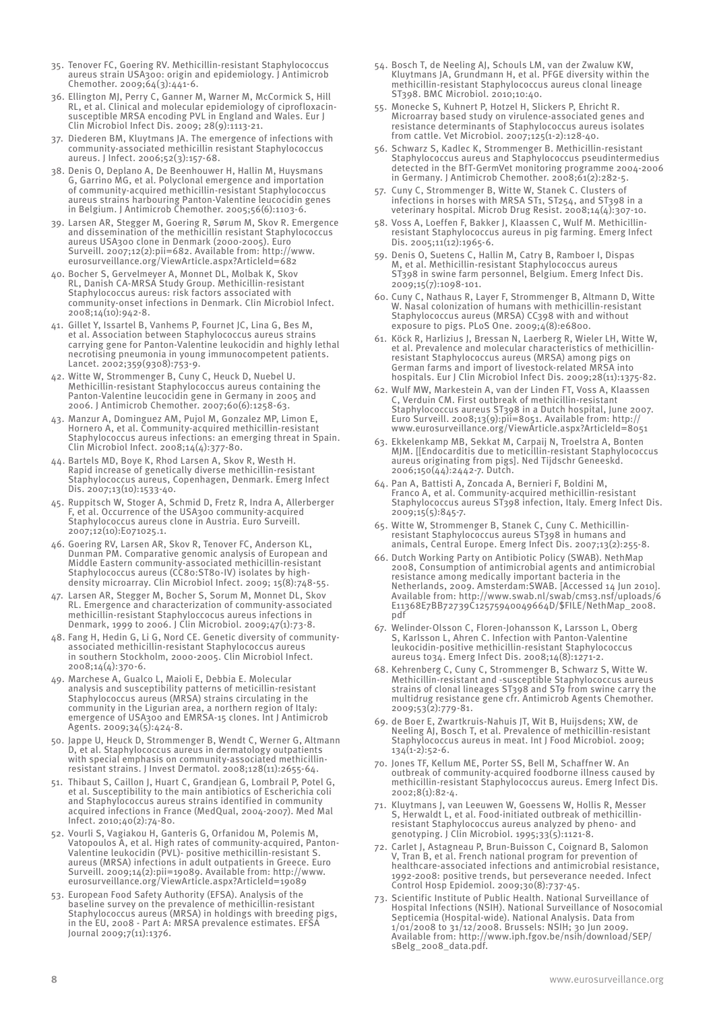- 35. Tenover FC, Goering RV. Methicillin-resistant Staphylococcus aureus strain USA300: origin and epidemiology. J Antimicrob Chemother. 2009;64(3):441-6.
- 36. Ellington MJ, Perry C, Ganner M, Warner M, McCormick S, Hill RL, et al. Clinical and molecular epidemiology of ciprofloxacinsusceptible MRSA encoding PVL in England and Wales. Eur J Clin Microbiol Infect Dis. 2009; 28(9):1113-21.
- 37. Diederen BM, Kluytmans JA. The emergence of infections with community-associated methicillin resistant Staphylococcus aureus. J Infect. 2006;52(3):157-68.
- 38. Denis O, Deplano A, De Beenhouwer H, Hallin M, Huysmans G, Garrino MG, et al. Polyclonal emergence and importation of community-acquired methicillin-resistant Staphylococcus aureus strains harbouring Panton-Valentine leucocidin genes in Belgium. J Antimicrob Chemother. 2005;56(6):1103-6.
- 39. Larsen AR, Stegger M, Goering R, Sørum M, Skov R. Emergence and dissemination of the methicillin resistant Staphylococcus aureus USA300 clone in Denmark (2000-2005). Euro Surveill. 2007;12(2):pii=682. Available from: http://www. eurosurveillance.org/ViewArticle.aspx?ArticleId=682
- 40. Bocher S, Gervelmeyer A, Monnet DL, Molbak K, Skov RL, Danish CA-MRSA Study Group. Methicillin-resistant Staphylococcus aureus: risk factors associated with community-onset infections in Denmark. Clin Microbiol Infect. 2008;14(10):942-8.
- 41. Gillet Y, Issartel B, Vanhems P, Fournet JC, Lina G, Bes M, et al. Association between Staphylococcus aureus strains carrying gene for Panton-Valentine leukocidin and highly lethal necrotising pneumonia in young immunocompetent patients. Lancet. 2002;359(9308):753-9.
- 42. Witte W, Strommenger B, Cuny C, Heuck D, Nuebel U. Methicillin-resistant Staphylococcus aureus containing the Panton-Valentine leucocidin gene in Germany in 2005 and 2006. J Antimicrob Chemother. 2007;60(6):1258-63.
- 43. Manzur A, Dominguez AM, Pujol M, Gonzalez MP, Limon E, Hornero A, et al. Community-acquired methicillin-resistant Staphylococcus aureus infections: an emerging threat in Spain. Clin Microbiol Infect. 2008;14(4):377-80.
- 44. Bartels MD, Boye K, Rhod Larsen A, Skov R, Westh H. Rapid increase of genetically diverse methicillin-resistant Staphylococcus aureus, Copenhagen, Denmark. Emerg Infect Dis. 2007;13(10):1533-40.
- 45. Ruppitsch W, Stoger A, Schmid D, Fretz R, Indra A, Allerberger et al. Occurrence of the USA300 community-acquired Staphylococcus aureus clone in Austria. Euro Surveill. 2007;12(10):E071025.1.
- 46. Goering RV, Larsen AR, Skov R, Tenover FC, Anderson KL, Dunman PM. Comparative genomic analysis of European and Middle Eastern community-associated methicillin-resistant Staphylococcus aureus (CC80:ST80-IV) isolates by highdensity microarray. Clin Microbiol Infect. 2009; 15(8):748-55.
- 47. Larsen AR, Stegger M, Bocher S, Sorum M, Monnet DL, Skov RL. Emergence and characterization of community-associated methicillin-resistant Staphyloccocus aureus infections in Denmark, 1999 to 2006. J Clin Microbiol. 2009;47(1):73-8.
- 48. Fang H, Hedin G, Li G, Nord CE. Genetic diversity of communityassociated methicillin-resistant Staphylococcus aureus in southern Stockholm, 2000-2005. Clin Microbiol Infect. 2008;14(4):370-6.
- 49. Marchese A, Gualco L, Maioli E, Debbia E. Molecular analysis and susceptibility patterns of meticillin-resistant Staphylococcus aureus (MRSA) strains circulating in the community in the Ligurian area, a northern region of Italy: emergence of USA300 and EMRSA-15 clones. Int J Antimicrob Agents. 2009;34(5):424-8.
- 50. Jappe U, Heuck D, Strommenger B, Wendt C, Werner G, Altmann D, et al. Staphylococcus aureus in dermatology outpatients with special emphasis on community-associated methicillinresistant strains. J Invest Dermatol. 2008;128(11):2655-64.
- 51. Thibaut S, Caillon J, Huart C, Grandjean G, Lombrail P, Potel G, et al. Susceptibility to the main antibiotics of Escherichia coli and Staphylococcus aureus strains identified in communit acquired infections in France (MedQual, 2004-2007). Med Mal Infect. 2010;40(2):74-80.
- 52. Vourli S, Vagiakou H, Ganteris G, Orfanidou M, Polemis M, Vatopoulos A, et al. High rates of community-acquired, Panton-Valentine leukocidin (PVL)- positive methicillin-resistant S. aureus (MRSA) infections in adult outpatients in Greece. Euro Surveill. 2009;14(2):pii=19089. Available from: http://www. eurosurveillance.org/ViewArticle.aspx?ArticleId=19089
- 53. European Food Safety Authority (EFSA). Analysis of the baseline survey on the prevalence of methicillin-resistant Staphylococcus aureus (MRSA) in holdings with breeding pigs, in the EU, 2008 - Part A: MRSA prevalence estimates. EFSA Journal 2009;7(11):1376.
- 54. Bosch T, de Neeling AJ, Schouls LM, van der Zwaluw KW, Kluytmans JA, Grundmann H, et al. PFGE diversity within the methicillin-resistant Staphylococcus aureus clonal lineage ST398. BMC Microbiol. 2010;10:40.
- 55. Monecke S, Kuhnert P, Hotzel H, Slickers P, Ehricht R. Microarray based study on virulence-associated genes and resistance determinants of Staphylococcus aureus isolates from cattle. Vet Microbiol. 2007;125(1-2):128-40.
- 56. Schwarz S, Kadlec K, Strommenger B. Methicillin-resistant Staphylococcus aureus and Staphylococcus pseudintermedius detected in the BfT-GermVet monitoring programme 2004-2006 in Germany. J Antimicrob Chemother. 2008;61(2):282-5.
- 57. Cuny C, Strommenger B, Witte W, Stanek C. Clusters of infections in horses with MRSA ST1, ST254, and ST398 in a veterinary hospital. Microb Drug Resist. 2008;14(4):307-10.
- 58. Voss A, Loeffen F, Bakker J, Klaassen C, Wulf M. Methicillinresistant Staphylococcus aureus in pig farming. Emerg Infect Dis. 2005;11(12):1965-6.
- Denis O, Suetens C, Hallin M, Catry B, Ramboer I, Dispas M, et al. Methicillin-resistant Staphylococcus aureus ST398 in swine farm personnel, Belgium. Emerg Infect Dis. 2009;15(7):1098-101.
- 60. Cuny C, Nathaus R, Layer F, Strommenger B, Altmann D, Witte W. Nasal colonization of humans with methicillin-resistant Staphylococcus aureus (MRSA) CC398 with and without exposure to pigs. PLoS One. 2009;4(8):e6800.
- 61. Köck R, Harlizius J, Bressan N, Laerberg R, Wieler LH, Witte W, et al. Prevalence and molecular characteristics of methicillinresistant Staphylococcus aureus (MRSA) among pigs on German farms and import of livestock-related MRSA into hospitals. Eur J Clin Microbiol Infect Dis. 2009;28(11):1375-82.
- 62. Wulf MW, Markestein A, van der Linden FT, Voss A, Klaassen C, Verduin CM. First outbreak of methicillin-resistant Staphylococcus aureus ST398 in a Dutch hospital, June 2007. Euro Surveill. 2008;13(9):pii=8051. Available from: http:// www.eurosurveillance.org/ViewArticle.aspx?ArticleId=8051
- 63. Ekkelenkamp MB, Sekkat M, Carpaij N, Troelstra A, Bonten MJM. [[Endocarditis due to meticillin-resistant Staphylococcus aureus originating from pigs]. Ned Tijdschr Geneeskd. 2006;150(44):2442-7. Dutch.
- 64. Pan A, Battisti A, Zoncada A, Bernieri F, Boldini M, Franco A, et al. Community-acquired methicillin-resistant Staphylococcus aureus ST398 infection, Italy. Emerg Infect Dis. 2009;15(5):845-7.
- 65. Witte W, Strommenger B, Stanek C, Cuny C. Methicillinresistant Staphylococcus aureus ST398 in humans and animals, Central Europe. Emerg Infect Dis. 2007;13(2):255-8.
- 66. Dutch Working Party on Antibiotic Policy (SWAB). NethMap 2008, Consumption of antimicrobial agents and antimicrobial resistance among medically important bacteria in the Netherlands, 2009. Amsterdam:SWAB. [Accessed 14 Jun 2010]. Available from: http://www.swab.nl/swab/cms3.nsf/uploads/6 E11368E7BB72739C12575940049664D/\$FILE/NethMap\_2008. pdf
- 67. Welinder-Olsson C, Floren-Johansson K, Larsson L, Oberg S, Karlsson L, Ahren C. Infection with Panton-Valentine leukocidin-positive methicillin-resistant Staphylococcus aureus t034. Emerg Infect Dis. 2008;14(8):1271-2.
- 68. Kehrenberg C, Cuny C, Strommenger B, Schwarz S, Witte W. Methicillin-resistant and -susceptible Staphylococcus aureus strains of clonal lineages ST398 and ST9 from swine carry the multidrug resistance gene cfr. Antimicrob Agents Chemother. 2009;53(2):779-81.
- 69. de Boer E, Zwartkruis-Nahuis JT, Wit B, Huijsdens; XW, de Neeling AJ, Bosch T, et al. Prevalence of methicillin-resistant Staphylococcus aureus in meat. Int J Food Microbiol. 2009; 134(1-2):52-6.
- 70. Jones TF, Kellum ME, Porter SS, Bell M, Schaffner W. An outbreak of community-acquired foodborne illness caused by methicillin-resistant Staphylococcus aureus. Emerg Infect Dis. 2002;8(1):82-4.
- 71. Kluytmans J, van Leeuwen W, Goessens W, Hollis R, Messer S, Herwaldt L, et al. Food-initiated outbreak of methicillinresistant Staphylococcus aureus analyzed by pheno- and genotyping. J Clin Microbiol. 1995;33(5):1121-8.
- 72. Carlet J, Astagneau P, Brun-Buisson C, Coignard B, Salomon V, Tran B, et al. French national program for prevention of healthcare-associated infections and antimicrobial resistance, 1992-2008: positive trends, but perseverance needed. Infect Control Hosp Epidemiol. 2009;30(8):737-45.
- 73. Scientific Institute of Public Health. National Surveillance of Hospital Infections (NSIH). National Surveillance of Nosocomial Septicemia (Hospital-wide). National Analysis. Data from 1/01/2008 to 31/12/2008. Brussels: NSIH; 30 Jun 2009. Available from: http://www.iph.fgov.be/nsih/download/SEP/ sBelg\_2008\_data.pdf.